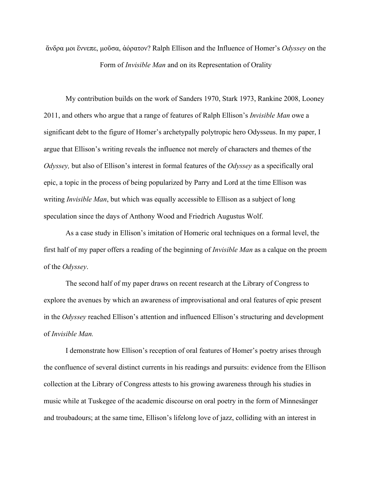ἄνδρα μοι ἔννεπε, μοῦσα, ἀόρατον? Ralph Ellison and the Influence of Homer's *Odyssey* on the Form of *Invisible Man* and on its Representation of Orality

My contribution builds on the work of Sanders 1970, Stark 1973, Rankine 2008, Looney 2011, and others who argue that a range of features of Ralph Ellison's *Invisible Man* owe a significant debt to the figure of Homer's archetypally polytropic hero Odysseus. In my paper, I argue that Ellison's writing reveals the influence not merely of characters and themes of the *Odyssey,* but also of Ellison's interest in formal features of the *Odyssey* as a specifically oral epic, a topic in the process of being popularized by Parry and Lord at the time Ellison was writing *Invisible Man*, but which was equally accessible to Ellison as a subject of long speculation since the days of Anthony Wood and Friedrich Augustus Wolf.

As a case study in Ellison's imitation of Homeric oral techniques on a formal level, the first half of my paper offers a reading of the beginning of *Invisible Man* as a calque on the proem of the *Odyssey*.

The second half of my paper draws on recent research at the Library of Congress to explore the avenues by which an awareness of improvisational and oral features of epic present in the *Odyssey* reached Ellison's attention and influenced Ellison's structuring and development of *Invisible Man.*

I demonstrate how Ellison's reception of oral features of Homer's poetry arises through the confluence of several distinct currents in his readings and pursuits: evidence from the Ellison collection at the Library of Congress attests to his growing awareness through his studies in music while at Tuskegee of the academic discourse on oral poetry in the form of Minnesänger and troubadours; at the same time, Ellison's lifelong love of jazz, colliding with an interest in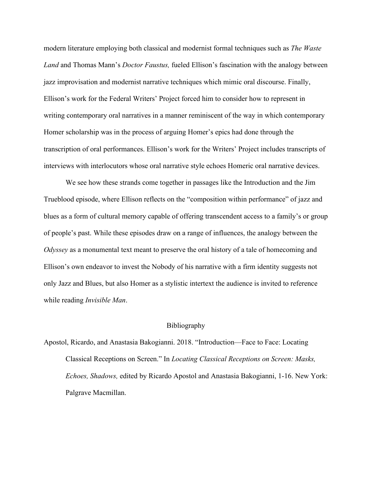modern literature employing both classical and modernist formal techniques such as *The Waste Land* and Thomas Mann's *Doctor Faustus,* fueled Ellison's fascination with the analogy between jazz improvisation and modernist narrative techniques which mimic oral discourse. Finally, Ellison's work for the Federal Writers' Project forced him to consider how to represent in writing contemporary oral narratives in a manner reminiscent of the way in which contemporary Homer scholarship was in the process of arguing Homer's epics had done through the transcription of oral performances. Ellison's work for the Writers' Project includes transcripts of interviews with interlocutors whose oral narrative style echoes Homeric oral narrative devices.

We see how these strands come together in passages like the Introduction and the Jim Trueblood episode, where Ellison reflects on the "composition within performance" of jazz and blues as a form of cultural memory capable of offering transcendent access to a family's or group of people's past. While these episodes draw on a range of influences, the analogy between the *Odyssey* as a monumental text meant to preserve the oral history of a tale of homecoming and Ellison's own endeavor to invest the Nobody of his narrative with a firm identity suggests not only Jazz and Blues, but also Homer as a stylistic intertext the audience is invited to reference while reading *Invisible Man*.

## Bibliography

Apostol, Ricardo, and Anastasia Bakogianni. 2018. "Introduction—Face to Face: Locating Classical Receptions on Screen." In *Locating Classical Receptions on Screen: Masks, Echoes, Shadows,* edited by Ricardo Apostol and Anastasia Bakogianni, 1-16. New York: Palgrave Macmillan.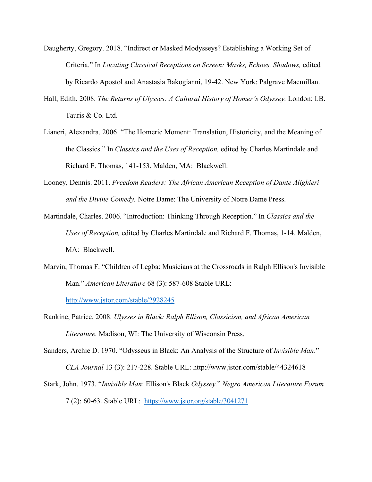- Daugherty, Gregory. 2018. "Indirect or Masked Modysseys? Establishing a Working Set of Criteria." In *Locating Classical Receptions on Screen: Masks, Echoes, Shadows,* edited by Ricardo Apostol and Anastasia Bakogianni, 19-42. New York: Palgrave Macmillan.
- Hall, Edith. 2008. *The Returns of Ulysses: A Cultural History of Homer's Odyssey.* London: I.B. Tauris & Co. Ltd.
- Lianeri, Alexandra. 2006. "The Homeric Moment: Translation, Historicity, and the Meaning of the Classics." In *Classics and the Uses of Reception,* edited by Charles Martindale and Richard F. Thomas, 141-153. Malden, MA: Blackwell.
- Looney, Dennis. 2011. *Freedom Readers: The African American Reception of Dante Alighieri and the Divine Comedy.* Notre Dame: The University of Notre Dame Press.
- Martindale, Charles. 2006. "Introduction: Thinking Through Reception." In *Classics and the Uses of Reception,* edited by Charles Martindale and Richard F. Thomas, 1-14. Malden, MA: Blackwell.
- Marvin, Thomas F. "Children of Legba: Musicians at the Crossroads in Ralph Ellison's Invisible Man." *American Literature* 68 (3): 587-608 Stable URL:

<http://www.jstor.com/stable/2928245>

- Rankine, Patrice. 2008. *Ulysses in Black: Ralph Ellison, Classicism, and African American Literature.* Madison, WI: The University of Wisconsin Press.
- Sanders, Archie D. 1970. "Odysseus in Black: An Analysis of the Structure of *Invisible Man*." *CLA Journal* 13 (3): 217-228. Stable URL: http://www.jstor.com/stable/44324618
- Stark, John. 1973. "*Invisible Man*: Ellison's Black *Odyssey.*" *Negro American Literature Forum* 7 (2): 60-63. Stable URL: <https://www.jstor.org/stable/3041271>